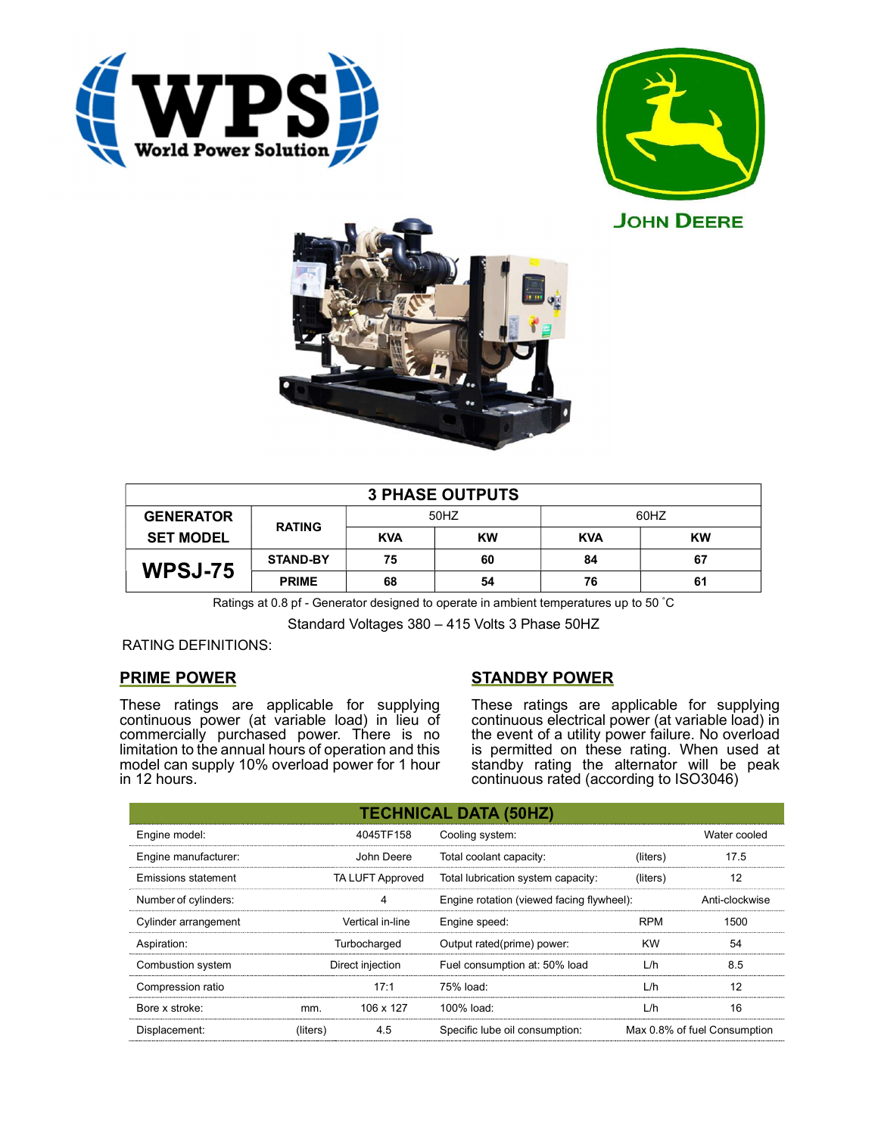





|                  |                 |            | <b>3 PHASE OUTPUTS</b> |            |           |
|------------------|-----------------|------------|------------------------|------------|-----------|
| <b>GENERATOR</b> | <b>RATING</b>   |            | 50HZ                   |            | 60HZ      |
| <b>SET MODEL</b> |                 | <b>KVA</b> | <b>KW</b>              | <b>KVA</b> | <b>KW</b> |
| <b>WPSJ-75</b>   | <b>STAND-BY</b> | 75         | 60                     | 84         | 67        |
|                  | <b>PRIME</b>    | 68         | 54                     | 76         | 61        |

Ratings at 0.8 pf - Generator designed to operate in ambient temperatures up to 50 °C

Standard Voltages 380 – 415 Volts 3 Phase 50HZ

# RATING DEFINITIONS:

# PRIME POWER

These ratings are applicable for supplying continuous power (at variable load) in lieu of commercially purchased power. There is no limitation to the annual hours of operation and this model can supply 10% overload power for 1 hour in 12 hours.

# STANDBY POWER

These ratings are applicable for supplying continuous electrical power (at variable load) in the event of a utility power failure. No overload is permitted on these rating. When used at standby rating the alternator will be peak continuous rated (according to ISO3046)

|                            |                         |                  | <b>TECHNICAL DATA (50HZ)</b>              |                              |                |
|----------------------------|-------------------------|------------------|-------------------------------------------|------------------------------|----------------|
| Engine model:              |                         | 4045TF158        | Cooling system:                           |                              | Water cooled   |
| Engine manufacturer:       |                         | John Deere       | Total coolant capacity:                   | (liters)                     | 17.5           |
| <b>Emissions statement</b> | <b>TA LUFT Approved</b> |                  | Total lubrication system capacity:        | (liters)                     | 12             |
| Number of cylinders:       |                         | 4                | Engine rotation (viewed facing flywheel): |                              | Anti-clockwise |
| Cylinder arrangement       |                         | Vertical in-line | Engine speed:                             | <b>RPM</b>                   | 1500           |
| Aspiration:                |                         | Turbocharged     | Output rated(prime) power:                | <b>KW</b>                    | 54             |
| Combustion system          |                         | Direct injection | Fuel consumption at: 50% load             | L/h                          | 8.5            |
| Compression ratio          |                         | 17:1             | 75% load:                                 | L/h                          | 12             |
| Bore x stroke:             | mm.                     | 106 x 127        | 100% load:                                | L/h                          | 16             |
| Displacement:              | (liters)                | 4.5              | Specific lube oil consumption:            | Max 0.8% of fuel Consumption |                |